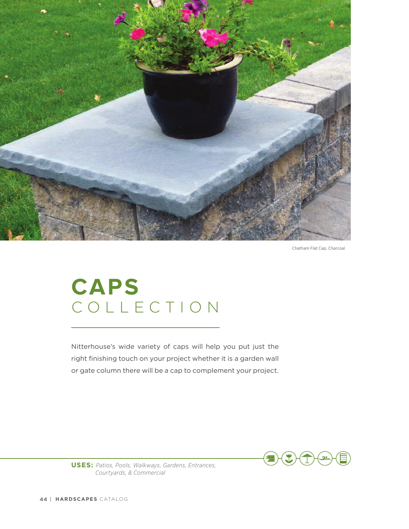

Chatham Flat Cap, Charcoal

## COLLECTION **CAPS**

Nitterhouse's wide variety of caps will help you put just the right finishing touch on your project whether it is a garden wall or gate column there will be a cap to complement your project.



**USES:** *Patios, Pools, Walkways, Gardens, Entrances, Courtyards, & Commercial*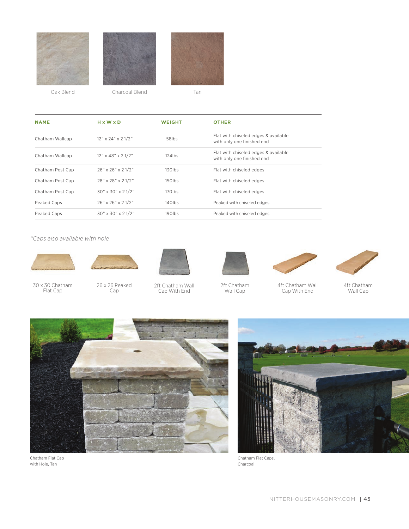

Oak Blend Charcoal Blend Tan

| <b>NAME</b>      | $H \times W \times D$ | <b>WEIGHT</b>      | <b>OTHER</b>                                                       |
|------------------|-----------------------|--------------------|--------------------------------------------------------------------|
| Chatham Wallcap  | $12"$ x 24" x 2 1/2"  | 58lbs              | Flat with chiseled edges & available<br>with only one finished end |
| Chatham Wallcap  | $12"$ x 48" x 21/2"   | $124$ lbs          | Flat with chiseled edges & available<br>with only one finished end |
| Chatham Post Cap | 26" x 26" x 21/2"     | $130$ lbs          | Flat with chiseled edges                                           |
| Chatham Post Cap | 28" x 28" x 21/2"     | 150lbs             | Flat with chiseled edges                                           |
| Chatham Post Cap | 30" x 30" x 2 1/2"    | 170 <sub>lbs</sub> | Flat with chiseled edges                                           |
| Peaked Caps      | 26" x 26" x 21/2"     | $140$ lbs          | Peaked with chiseled edges                                         |
| Peaked Caps      | 30" x 30" x 21/2"     | 190 <sub>lbs</sub> | Peaked with chiseled edges                                         |

*\*Caps also available with hole*



30 x 30 Chatham Flat Cap



26 x 26 Peaked Cap



2ft Chatham Wall Cap With End



2ft Chatham Wall Cap



4ft Chatham Wall Cap With End



4ft Chatham Wall Cap



Chatham Flat Cap with Hole, Tan



Chatham Flat Caps, Charcoal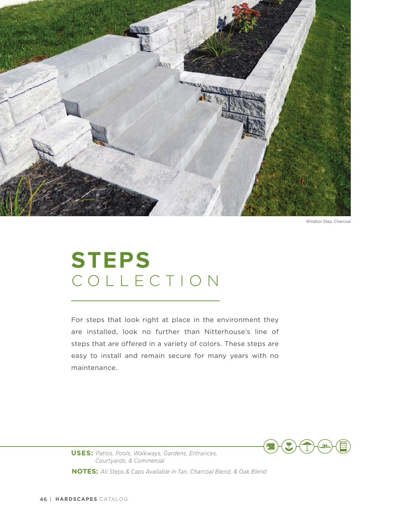

Windsor Step, Charcoal

## COLLECTION **STEPS**

For steps that look right at place in the environment they are installed, look no further than Nitterhouse's line of steps that are offered in a variety of colors. These steps are easy to install and remain secure for many years with no maintenance.



**USES:** *Patios, Pools, Walkways, Gardens, Entrances, Courtyards, & Commercial*

**NOTES:** *All Steps & Caps Available in Tan, Charcoal Blend, & Oak Blend*